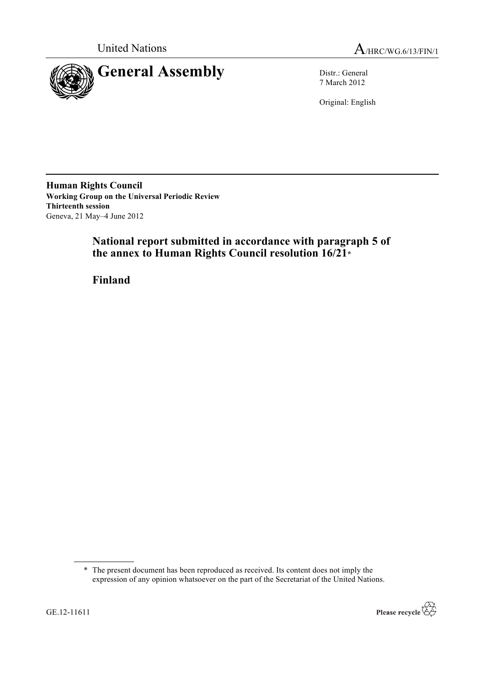



7 March 2012

Original: English

**Human Rights Council Working Group on the Universal Periodic Review Thirteenth session** Geneva, 21 May–4 June 2012

# **National report submitted in accordance with paragraph 5 of the annex to Human Rights Council resolution 16/21\***

**Finland**

<sup>\*</sup> The present document has been reproduced as received. Its content does not imply the expression of any opinion whatsoever on the part of the Secretariat of the United Nations.

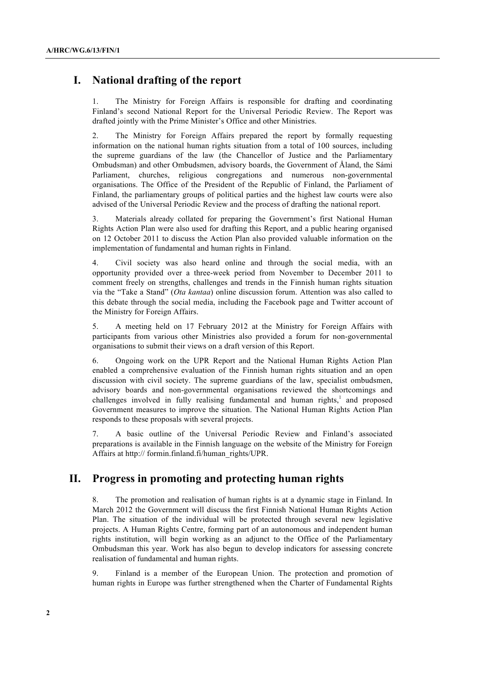# **I. National drafting of the report**

1. The Ministry for Foreign Affairs is responsible for drafting and coordinating Finland's second National Report for the Universal Periodic Review. The Report was drafted jointly with the Prime Minister's Office and other Ministries.

2. The Ministry for Foreign Affairs prepared the report by formally requesting information on the national human rights situation from a total of 100 sources, including the supreme guardians of the law (the Chancellor of Justice and the Parliamentary Ombudsman) and other Ombudsmen, advisory boards, the Government of Åland, the Sámi Parliament, churches, religious congregations and numerous non-governmental organisations. The Office of the President of the Republic of Finland, the Parliament of Finland, the parliamentary groups of political parties and the highest law courts were also advised of the Universal Periodic Review and the process of drafting the national report.

3. Materials already collated for preparing the Government's first National Human Rights Action Plan were also used for drafting this Report, and a public hearing organised on 12 October 2011 to discuss the Action Plan also provided valuable information on the implementation of fundamental and human rights in Finland.

4. Civil society was also heard online and through the social media, with an opportunity provided over a three-week period from November to December 2011 to comment freely on strengths, challenges and trends in the Finnish human rights situation via the "Take a Stand" (*Ota kantaa*) online discussion forum. Attention was also called to this debate through the social media, including the Facebook page and Twitter account of the Ministry for Foreign Affairs.

5. A meeting held on 17 February 2012 at the Ministry for Foreign Affairs with participants from various other Ministries also provided a forum for non-governmental organisations to submit their views on a draft version of this Report.

6. Ongoing work on the UPR Report and the National Human Rights Action Plan enabled a comprehensive evaluation of the Finnish human rights situation and an open discussion with civil society. The supreme guardians of the law, specialist ombudsmen, advisory boards and non-governmental organisations reviewed the shortcomings and challenges involved in fully realising fundamental and human rights,<sup>1</sup> and proposed Government measures to improve the situation. The National Human Rights Action Plan responds to these proposals with several projects.

7. A basic outline of the Universal Periodic Review and Finland's associated preparations is available in the Finnish language on the website of the Ministry for Foreign Affairs at http:// formin.finland.fi/human\_rights/UPR.

# **II. Progress in promoting and protecting human rights**

8. The promotion and realisation of human rights is at a dynamic stage in Finland. In March 2012 the Government will discuss the first Finnish National Human Rights Action Plan. The situation of the individual will be protected through several new legislative projects. A Human Rights Centre, forming part of an autonomous and independent human rights institution, will begin working as an adjunct to the Office of the Parliamentary Ombudsman this year. Work has also begun to develop indicators for assessing concrete realisation of fundamental and human rights.

9. Finland is a member of the European Union. The protection and promotion of human rights in Europe was further strengthened when the Charter of Fundamental Rights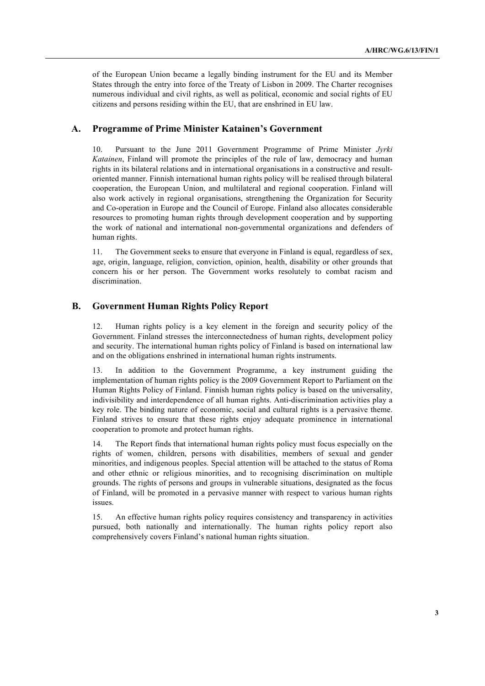of the European Union became a legally binding instrument for the EU and its Member States through the entry into force of the Treaty of Lisbon in 2009. The Charter recognises numerous individual and civil rights, as well as political, economic and social rights of EU citizens and persons residing within the EU, that are enshrined in EU law.

## **A. Programme of Prime Minister Katainen's Government**

10. Pursuant to the June 2011 Government Programme of Prime Minister *Jyrki Katainen*, Finland will promote the principles of the rule of law, democracy and human rights in its bilateral relations and in international organisations in a constructive and resultoriented manner. Finnish international human rights policy will be realised through bilateral cooperation, the European Union, and multilateral and regional cooperation. Finland will also work actively in regional organisations, strengthening the Organization for Security and Co-operation in Europe and the Council of Europe. Finland also allocates considerable resources to promoting human rights through development cooperation and by supporting the work of national and international non-governmental organizations and defenders of human rights.

11. The Government seeks to ensure that everyone in Finland is equal, regardless of sex, age, origin, language, religion, conviction, opinion, health, disability or other grounds that concern his or her person. The Government works resolutely to combat racism and discrimination.

### **B. Government Human Rights Policy Report**

12. Human rights policy is a key element in the foreign and security policy of the Government. Finland stresses the interconnectedness of human rights, development policy and security. The international human rights policy of Finland is based on international law and on the obligations enshrined in international human rights instruments.

13. In addition to the Government Programme, a key instrument guiding the implementation of human rights policy is the 2009 Government Report to Parliament on the Human Rights Policy of Finland. Finnish human rights policy is based on the universality, indivisibility and interdependence of all human rights. Anti-discrimination activities play a key role. The binding nature of economic, social and cultural rights is a pervasive theme. Finland strives to ensure that these rights enjoy adequate prominence in international cooperation to promote and protect human rights.

14. The Report finds that international human rights policy must focus especially on the rights of women, children, persons with disabilities, members of sexual and gender minorities, and indigenous peoples. Special attention will be attached to the status of Roma and other ethnic or religious minorities, and to recognising discrimination on multiple grounds. The rights of persons and groups in vulnerable situations, designated as the focus of Finland, will be promoted in a pervasive manner with respect to various human rights issues.

15. An effective human rights policy requires consistency and transparency in activities pursued, both nationally and internationally. The human rights policy report also comprehensively covers Finland's national human rights situation.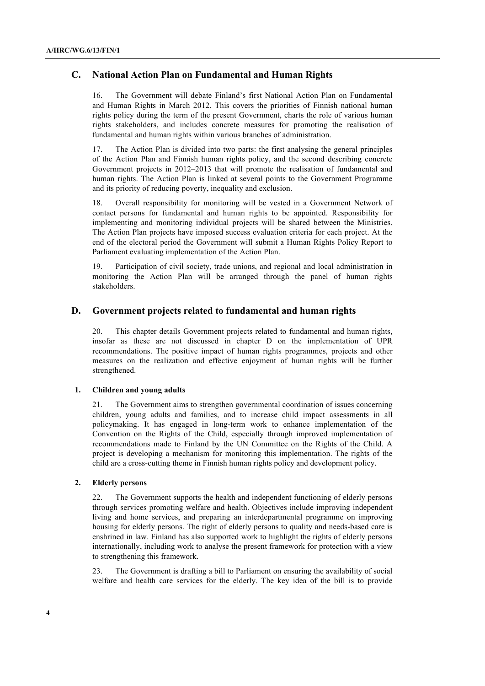## **C. National Action Plan on Fundamental and Human Rights**

16. The Government will debate Finland's first National Action Plan on Fundamental and Human Rights in March 2012. This covers the priorities of Finnish national human rights policy during the term of the present Government, charts the role of various human rights stakeholders, and includes concrete measures for promoting the realisation of fundamental and human rights within various branches of administration.

17. The Action Plan is divided into two parts: the first analysing the general principles of the Action Plan and Finnish human rights policy, and the second describing concrete Government projects in 2012–2013 that will promote the realisation of fundamental and human rights. The Action Plan is linked at several points to the Government Programme and its priority of reducing poverty, inequality and exclusion.

18. Overall responsibility for monitoring will be vested in a Government Network of contact persons for fundamental and human rights to be appointed. Responsibility for implementing and monitoring individual projects will be shared between the Ministries. The Action Plan projects have imposed success evaluation criteria for each project. At the end of the electoral period the Government will submit a Human Rights Policy Report to Parliament evaluating implementation of the Action Plan.

19. Participation of civil society, trade unions, and regional and local administration in monitoring the Action Plan will be arranged through the panel of human rights stakeholders.

## **D. Government projects related to fundamental and human rights**

20. This chapter details Government projects related to fundamental and human rights, insofar as these are not discussed in chapter D on the implementation of UPR recommendations. The positive impact of human rights programmes, projects and other measures on the realization and effective enjoyment of human rights will be further strengthened.

### **1. Children and young adults**

21. The Government aims to strengthen governmental coordination of issues concerning children, young adults and families, and to increase child impact assessments in all policymaking. It has engaged in long-term work to enhance implementation of the Convention on the Rights of the Child, especially through improved implementation of recommendations made to Finland by the UN Committee on the Rights of the Child. A project is developing a mechanism for monitoring this implementation. The rights of the child are a cross-cutting theme in Finnish human rights policy and development policy.

#### **2. Elderly persons**

22. The Government supports the health and independent functioning of elderly persons through services promoting welfare and health. Objectives include improving independent living and home services, and preparing an interdepartmental programme on improving housing for elderly persons. The right of elderly persons to quality and needs-based care is enshrined in law. Finland has also supported work to highlight the rights of elderly persons internationally, including work to analyse the present framework for protection with a view to strengthening this framework.

23. The Government is drafting a bill to Parliament on ensuring the availability of social welfare and health care services for the elderly. The key idea of the bill is to provide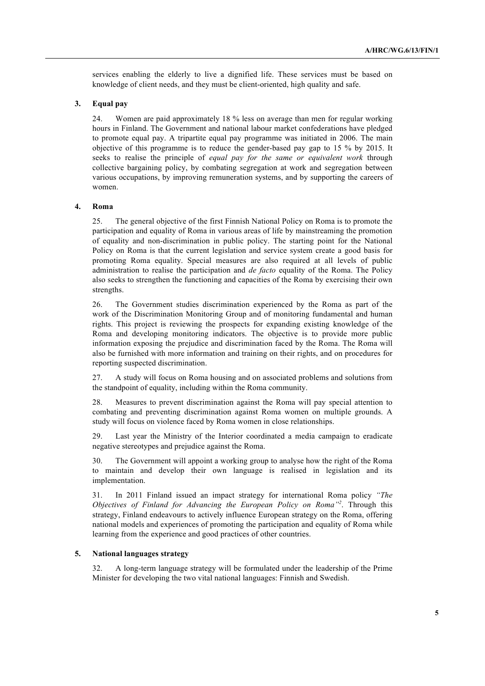services enabling the elderly to live a dignified life. These services must be based on knowledge of client needs, and they must be client-oriented, high quality and safe.

## **3. Equal pay**

24. Women are paid approximately 18 % less on average than men for regular working hours in Finland. The Government and national labour market confederations have pledged to promote equal pay. A tripartite equal pay programme was initiated in 2006. The main objective of this programme is to reduce the gender-based pay gap to 15 % by 2015. It seeks to realise the principle of *equal pay for the same or equivalent work* through collective bargaining policy, by combating segregation at work and segregation between various occupations, by improving remuneration systems, and by supporting the careers of women.

#### **4. Roma**

25. The general objective of the first Finnish National Policy on Roma is to promote the participation and equality of Roma in various areas of life by mainstreaming the promotion of equality and non-discrimination in public policy. The starting point for the National Policy on Roma is that the current legislation and service system create a good basis for promoting Roma equality. Special measures are also required at all levels of public administration to realise the participation and *de facto* equality of the Roma. The Policy also seeks to strengthen the functioning and capacities of the Roma by exercising their own strengths.

26. The Government studies discrimination experienced by the Roma as part of the work of the Discrimination Monitoring Group and of monitoring fundamental and human rights. This project is reviewing the prospects for expanding existing knowledge of the Roma and developing monitoring indicators. The objective is to provide more public information exposing the prejudice and discrimination faced by the Roma. The Roma will also be furnished with more information and training on their rights, and on procedures for reporting suspected discrimination.

27. A study will focus on Roma housing and on associated problems and solutions from the standpoint of equality, including within the Roma community.

28. Measures to prevent discrimination against the Roma will pay special attention to combating and preventing discrimination against Roma women on multiple grounds. A study will focus on violence faced by Roma women in close relationships.

29. Last year the Ministry of the Interior coordinated a media campaign to eradicate negative stereotypes and prejudice against the Roma.

30. The Government will appoint a working group to analyse how the right of the Roma to maintain and develop their own language is realised in legislation and its implementation.

31. In 2011 Finland issued an impact strategy for international Roma policy *"The Objectives of Finland for Advancing the European Policy on Roma"<sup>2</sup>* . Through this strategy, Finland endeavours to actively influence European strategy on the Roma, offering national models and experiences of promoting the participation and equality of Roma while learning from the experience and good practices of other countries.

#### **5. National languages strategy**

32. A long-term language strategy will be formulated under the leadership of the Prime Minister for developing the two vital national languages: Finnish and Swedish.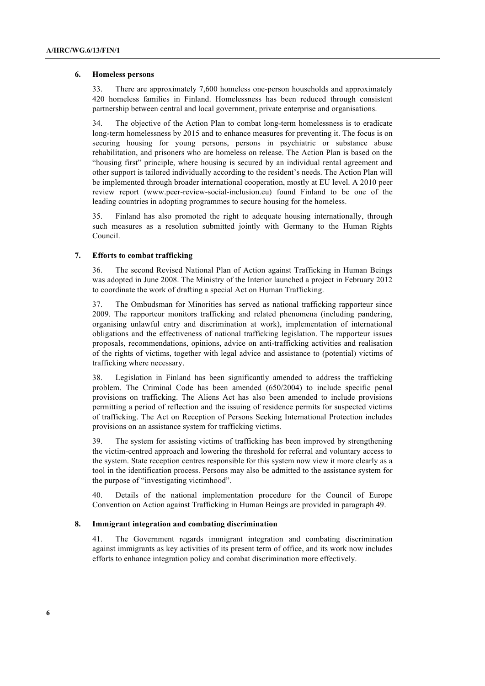#### **6. Homeless persons**

33. There are approximately 7,600 homeless one-person households and approximately 420 homeless families in Finland. Homelessness has been reduced through consistent partnership between central and local government, private enterprise and organisations.

34. The objective of the Action Plan to combat long-term homelessness is to eradicate long-term homelessness by 2015 and to enhance measures for preventing it. The focus is on securing housing for young persons, persons in psychiatric or substance abuse rehabilitation, and prisoners who are homeless on release. The Action Plan is based on the "housing first" principle, where housing is secured by an individual rental agreement and other support is tailored individually according to the resident's needs. The Action Plan will be implemented through broader international cooperation, mostly at EU level. A 2010 peer review report (www.peer-review-social-inclusion.eu) found Finland to be one of the leading countries in adopting programmes to secure housing for the homeless.

35. Finland has also promoted the right to adequate housing internationally, through such measures as a resolution submitted jointly with Germany to the Human Rights Council.

### **7. Efforts to combat trafficking**

36. The second Revised National Plan of Action against Trafficking in Human Beings was adopted in June 2008. The Ministry of the Interior launched a project in February 2012 to coordinate the work of drafting a special Act on Human Trafficking.

37. The Ombudsman for Minorities has served as national trafficking rapporteur since 2009. The rapporteur monitors trafficking and related phenomena (including pandering, organising unlawful entry and discrimination at work), implementation of international obligations and the effectiveness of national trafficking legislation. The rapporteur issues proposals, recommendations, opinions, advice on anti-trafficking activities and realisation of the rights of victims, together with legal advice and assistance to (potential) victims of trafficking where necessary.

38. Legislation in Finland has been significantly amended to address the trafficking problem. The Criminal Code has been amended (650/2004) to include specific penal provisions on trafficking. The Aliens Act has also been amended to include provisions permitting a period of reflection and the issuing of residence permits for suspected victims of trafficking. The Act on Reception of Persons Seeking International Protection includes provisions on an assistance system for trafficking victims.

39. The system for assisting victims of trafficking has been improved by strengthening the victim-centred approach and lowering the threshold for referral and voluntary access to the system. State reception centres responsible for this system now view it more clearly as a tool in the identification process. Persons may also be admitted to the assistance system for the purpose of "investigating victimhood".

40. Details of the national implementation procedure for the Council of Europe Convention on Action against Trafficking in Human Beings are provided in paragraph 49.

### **8. Immigrant integration and combating discrimination**

41. The Government regards immigrant integration and combating discrimination against immigrants as key activities of its present term of office, and its work now includes efforts to enhance integration policy and combat discrimination more effectively.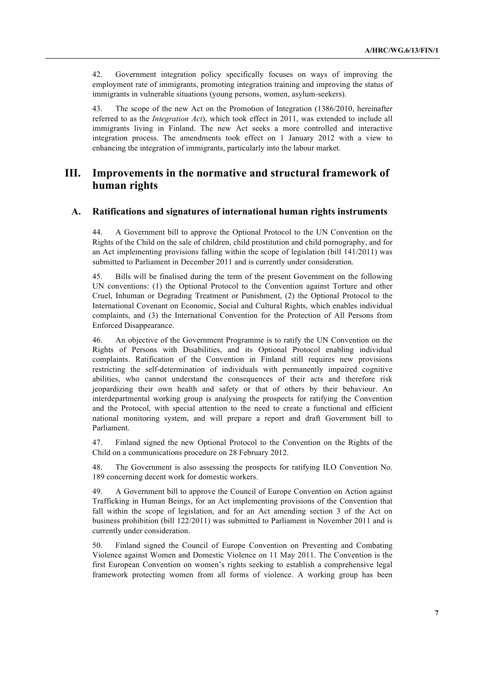42. Government integration policy specifically focuses on ways of improving the employment rate of immigrants, promoting integration training and improving the status of immigrants in vulnerable situations (young persons, women, asylum-seekers).

43. The scope of the new Act on the Promotion of Integration (1386/2010, hereinafter referred to as the *Integration Act*), which took effect in 2011, was extended to include all immigrants living in Finland. The new Act seeks a more controlled and interactive integration process. The amendments took effect on 1 January 2012 with a view to enhancing the integration of immigrants, particularly into the labour market.

# **III. Improvements in the normative and structural framework of human rights**

## **A. Ratifications and signatures of international human rights instruments**

44. A Government bill to approve the Optional Protocol to the UN Convention on the Rights of the Child on the sale of children, child prostitution and child pornography, and for an Act implementing provisions falling within the scope of legislation (bill 141/2011) was submitted to Parliament in December 2011 and is currently under consideration.

45. Bills will be finalised during the term of the present Government on the following UN conventions: (1) the Optional Protocol to the Convention against Torture and other Cruel, Inhuman or Degrading Treatment or Punishment, (2) the Optional Protocol to the International Covenant on Economic, Social and Cultural Rights, which enables individual complaints, and (3) the International Convention for the Protection of All Persons from Enforced Disappearance.

46. An objective of the Government Programme is to ratify the UN Convention on the Rights of Persons with Disabilities, and its Optional Protocol enabling individual complaints. Ratification of the Convention in Finland still requires new provisions restricting the self-determination of individuals with permanently impaired cognitive abilities, who cannot understand the consequences of their acts and therefore risk jeopardizing their own health and safety or that of others by their behaviour. An interdepartmental working group is analysing the prospects for ratifying the Convention and the Protocol, with special attention to the need to create a functional and efficient national monitoring system, and will prepare a report and draft Government bill to Parliament.

47. Finland signed the new Optional Protocol to the Convention on the Rights of the Child on a communications procedure on 28 February 2012.

48. The Government is also assessing the prospects for ratifying ILO Convention No. 189 concerning decent work for domestic workers.

49. A Government bill to approve the Council of Europe Convention on Action against Trafficking in Human Beings, for an Act implementing provisions of the Convention that fall within the scope of legislation, and for an Act amending section 3 of the Act on business prohibition (bill 122/2011) was submitted to Parliament in November 2011 and is currently under consideration.

50. Finland signed the Council of Europe Convention on Preventing and Combating Violence against Women and Domestic Violence on 11 May 2011. The Convention is the first European Convention on women's rights seeking to establish a comprehensive legal framework protecting women from all forms of violence. A working group has been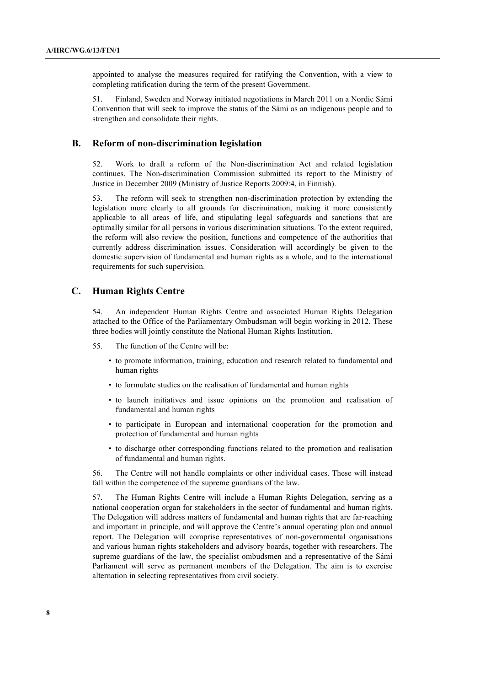appointed to analyse the measures required for ratifying the Convention, with a view to completing ratification during the term of the present Government.

51. Finland, Sweden and Norway initiated negotiations in March 2011 on a Nordic Sámi Convention that will seek to improve the status of the Sámi as an indigenous people and to strengthen and consolidate their rights.

### **B. Reform of non-discrimination legislation**

52. Work to draft a reform of the Non-discrimination Act and related legislation continues. The Non-discrimination Commission submitted its report to the Ministry of Justice in December 2009 (Ministry of Justice Reports 2009:4, in Finnish).

53. The reform will seek to strengthen non-discrimination protection by extending the legislation more clearly to all grounds for discrimination, making it more consistently applicable to all areas of life, and stipulating legal safeguards and sanctions that are optimally similar for all persons in various discrimination situations. To the extent required, the reform will also review the position, functions and competence of the authorities that currently address discrimination issues. Consideration will accordingly be given to the domestic supervision of fundamental and human rights as a whole, and to the international requirements for such supervision.

## **C. Human Rights Centre**

54. An independent Human Rights Centre and associated Human Rights Delegation attached to the Office of the Parliamentary Ombudsman will begin working in 2012. These three bodies will jointly constitute the National Human Rights Institution.

- 55. The function of the Centre will be:
	- to promote information, training, education and research related to fundamental and human rights
	- to formulate studies on the realisation of fundamental and human rights
	- to launch initiatives and issue opinions on the promotion and realisation of fundamental and human rights
	- to participate in European and international cooperation for the promotion and protection of fundamental and human rights
	- to discharge other corresponding functions related to the promotion and realisation of fundamental and human rights.

56. The Centre will not handle complaints or other individual cases. These will instead fall within the competence of the supreme guardians of the law.

57. The Human Rights Centre will include a Human Rights Delegation, serving as a national cooperation organ for stakeholders in the sector of fundamental and human rights. The Delegation will address matters of fundamental and human rights that are far-reaching and important in principle, and will approve the Centre's annual operating plan and annual report. The Delegation will comprise representatives of non-governmental organisations and various human rights stakeholders and advisory boards, together with researchers. The supreme guardians of the law, the specialist ombudsmen and a representative of the Sámi Parliament will serve as permanent members of the Delegation. The aim is to exercise alternation in selecting representatives from civil society.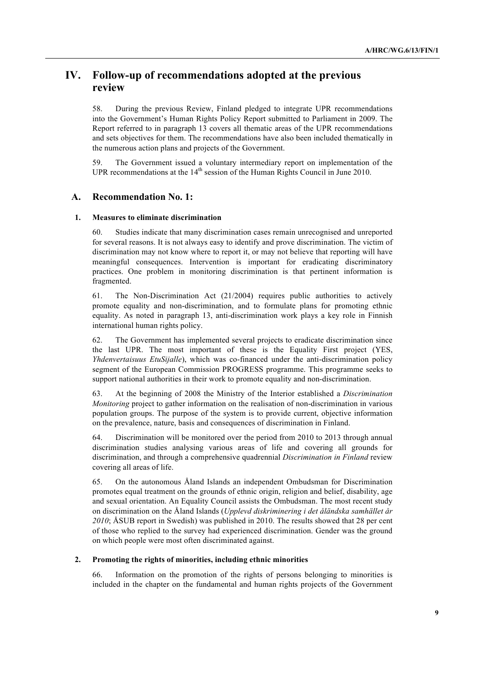# **IV. Follow-up of recommendations adopted at the previous review**

58. During the previous Review, Finland pledged to integrate UPR recommendations into the Government's Human Rights Policy Report submitted to Parliament in 2009. The Report referred to in paragraph 13 covers all thematic areas of the UPR recommendations and sets objectives for them. The recommendations have also been included thematically in the numerous action plans and projects of the Government.

59. The Government issued a voluntary intermediary report on implementation of the UPR recommendations at the  $14<sup>th</sup>$  session of the Human Rights Council in June 2010.

## **A. Recommendation No. 1:**

#### **1. Measures to eliminate discrimination**

60. Studies indicate that many discrimination cases remain unrecognised and unreported for several reasons. It is not always easy to identify and prove discrimination. The victim of discrimination may not know where to report it, or may not believe that reporting will have meaningful consequences. Intervention is important for eradicating discriminatory practices. One problem in monitoring discrimination is that pertinent information is fragmented.

61. The Non-Discrimination Act (21/2004) requires public authorities to actively promote equality and non-discrimination, and to formulate plans for promoting ethnic equality. As noted in paragraph 13, anti-discrimination work plays a key role in Finnish international human rights policy.

62. The Government has implemented several projects to eradicate discrimination since the last UPR. The most important of these is the Equality First project (YES, *Yhdenvertaisuus EtuSijalle*), which was co-financed under the anti-discrimination policy segment of the European Commission PROGRESS programme. This programme seeks to support national authorities in their work to promote equality and non-discrimination.

63. At the beginning of 2008 the Ministry of the Interior established a *Discrimination Monitoring* project to gather information on the realisation of non-discrimination in various population groups. The purpose of the system is to provide current, objective information on the prevalence, nature, basis and consequences of discrimination in Finland.

64. Discrimination will be monitored over the period from 2010 to 2013 through annual discrimination studies analysing various areas of life and covering all grounds for discrimination, and through a comprehensive quadrennial *Discrimination in Finland* review covering all areas of life.

65. On the autonomous Åland Islands an independent Ombudsman for Discrimination promotes equal treatment on the grounds of ethnic origin, religion and belief, disability, age and sexual orientation. An Equality Council assists the Ombudsman. The most recent study on discrimination on the Åland Islands (*Upplevd diskriminering i det åländska samhället år 2010*; ÅSUB report in Swedish) was published in 2010. The results showed that 28 per cent of those who replied to the survey had experienced discrimination. Gender was the ground on which people were most often discriminated against.

#### **2. Promoting the rights of minorities, including ethnic minorities**

66. Information on the promotion of the rights of persons belonging to minorities is included in the chapter on the fundamental and human rights projects of the Government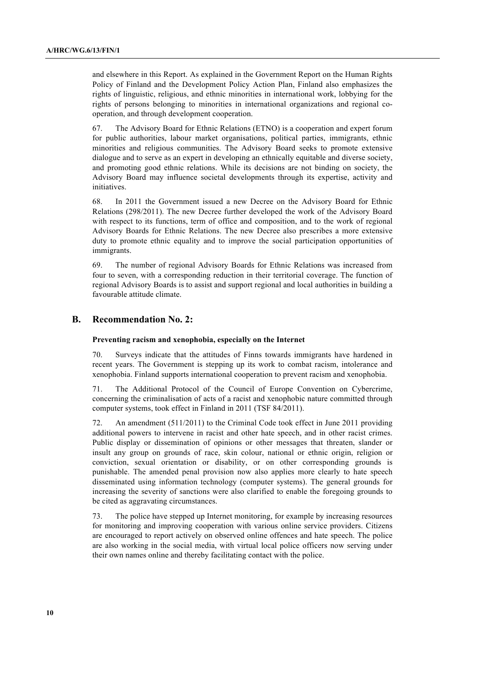and elsewhere in this Report. As explained in the Government Report on the Human Rights Policy of Finland and the Development Policy Action Plan, Finland also emphasizes the rights of linguistic, religious, and ethnic minorities in international work, lobbying for the rights of persons belonging to minorities in international organizations and regional cooperation, and through development cooperation.

67. The Advisory Board for Ethnic Relations (ETNO) is a cooperation and expert forum for public authorities, labour market organisations, political parties, immigrants, ethnic minorities and religious communities. The Advisory Board seeks to promote extensive dialogue and to serve as an expert in developing an ethnically equitable and diverse society, and promoting good ethnic relations. While its decisions are not binding on society, the Advisory Board may influence societal developments through its expertise, activity and initiatives.

68. In 2011 the Government issued a new Decree on the Advisory Board for Ethnic Relations (298/2011). The new Decree further developed the work of the Advisory Board with respect to its functions, term of office and composition, and to the work of regional Advisory Boards for Ethnic Relations. The new Decree also prescribes a more extensive duty to promote ethnic equality and to improve the social participation opportunities of immigrants.

69. The number of regional Advisory Boards for Ethnic Relations was increased from four to seven, with a corresponding reduction in their territorial coverage. The function of regional Advisory Boards is to assist and support regional and local authorities in building a favourable attitude climate.

### **B. Recommendation No. 2:**

#### **Preventing racism and xenophobia, especially on the Internet**

70. Surveys indicate that the attitudes of Finns towards immigrants have hardened in recent years. The Government is stepping up its work to combat racism, intolerance and xenophobia. Finland supports international cooperation to prevent racism and xenophobia.

71. The Additional Protocol of the Council of Europe Convention on Cybercrime, concerning the criminalisation of acts of a racist and xenophobic nature committed through computer systems, took effect in Finland in 2011 (TSF 84/2011).

72. An amendment (511/2011) to the Criminal Code took effect in June 2011 providing additional powers to intervene in racist and other hate speech, and in other racist crimes. Public display or dissemination of opinions or other messages that threaten, slander or insult any group on grounds of race, skin colour, national or ethnic origin, religion or conviction, sexual orientation or disability, or on other corresponding grounds is punishable. The amended penal provision now also applies more clearly to hate speech disseminated using information technology (computer systems). The general grounds for increasing the severity of sanctions were also clarified to enable the foregoing grounds to be cited as aggravating circumstances.

73. The police have stepped up Internet monitoring, for example by increasing resources for monitoring and improving cooperation with various online service providers. Citizens are encouraged to report actively on observed online offences and hate speech. The police are also working in the social media, with virtual local police officers now serving under their own names online and thereby facilitating contact with the police.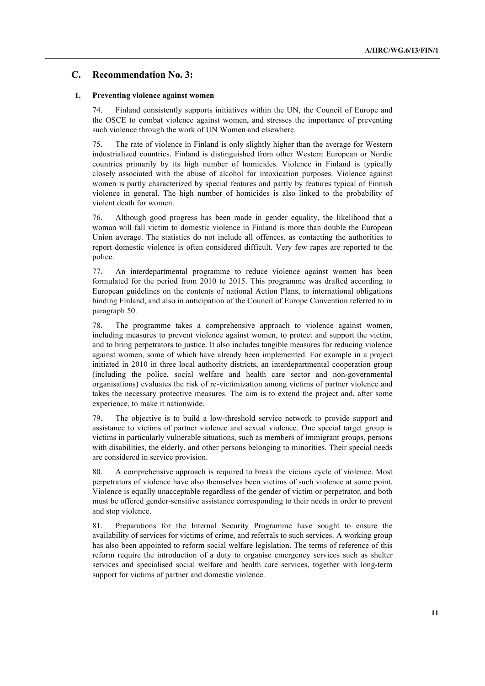## **C. Recommendation No. 3:**

#### **1. Preventing violence against women**

74. Finland consistently supports initiatives within the UN, the Council of Europe and the OSCE to combat violence against women, and stresses the importance of preventing such violence through the work of UN Women and elsewhere.

75. The rate of violence in Finland is only slightly higher than the average for Western industrialized countries. Finland is distinguished from other Western European or Nordic countries primarily by its high number of homicides. Violence in Finland is typically closely associated with the abuse of alcohol for intoxication purposes. Violence against women is partly characterized by special features and partly by features typical of Finnish violence in general. The high number of homicides is also linked to the probability of violent death for women.

76. Although good progress has been made in gender equality, the likelihood that a woman will fall victim to domestic violence in Finland is more than double the European Union average. The statistics do not include all offences, as contacting the authorities to report domestic violence is often considered difficult. Very few rapes are reported to the police.

77. An interdepartmental programme to reduce violence against women has been formulated for the period from 2010 to 2015. This programme was drafted according to European guidelines on the contents of national Action Plans, to international obligations binding Finland, and also in anticipation of the Council of Europe Convention referred to in paragraph 50.

78. The programme takes a comprehensive approach to violence against women, including measures to prevent violence against women, to protect and support the victim, and to bring perpetrators to justice. It also includes tangible measures for reducing violence against women, some of which have already been implemented. For example in a project initiated in 2010 in three local authority districts, an interdepartmental cooperation group (including the police, social welfare and health care sector and non-governmental organisations) evaluates the risk of re-victimization among victims of partner violence and takes the necessary protective measures. The aim is to extend the project and, after some experience, to make it nationwide.

79. The objective is to build a low-threshold service network to provide support and assistance to victims of partner violence and sexual violence. One special target group is victims in particularly vulnerable situations, such as members of immigrant groups, persons with disabilities, the elderly, and other persons belonging to minorities. Their special needs are considered in service provision.

80. A comprehensive approach is required to break the vicious cycle of violence. Most perpetrators of violence have also themselves been victims of such violence at some point. Violence is equally unacceptable regardless of the gender of victim or perpetrator, and both must be offered gender-sensitive assistance corresponding to their needs in order to prevent and stop violence.

81. Preparations for the Internal Security Programme have sought to ensure the availability of services for victims of crime, and referrals to such services. A working group has also been appointed to reform social welfare legislation. The terms of reference of this reform require the introduction of a duty to organise emergency services such as shelter services and specialised social welfare and health care services, together with long-term support for victims of partner and domestic violence.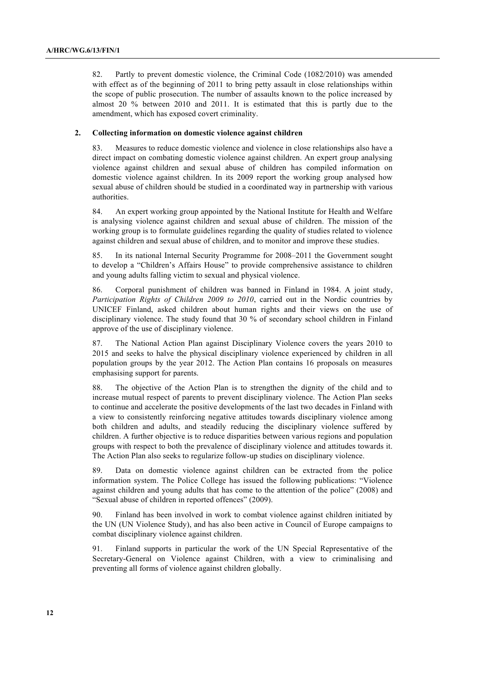82. Partly to prevent domestic violence, the Criminal Code (1082/2010) was amended with effect as of the beginning of 2011 to bring petty assault in close relationships within the scope of public prosecution. The number of assaults known to the police increased by almost 20 % between 2010 and 2011. It is estimated that this is partly due to the amendment, which has exposed covert criminality.

### **2. Collecting information on domestic violence against children**

83. Measures to reduce domestic violence and violence in close relationships also have a direct impact on combating domestic violence against children. An expert group analysing violence against children and sexual abuse of children has compiled information on domestic violence against children. In its 2009 report the working group analysed how sexual abuse of children should be studied in a coordinated way in partnership with various authorities.

84. An expert working group appointed by the National Institute for Health and Welfare is analysing violence against children and sexual abuse of children. The mission of the working group is to formulate guidelines regarding the quality of studies related to violence against children and sexual abuse of children, and to monitor and improve these studies.

85. In its national Internal Security Programme for 2008–2011 the Government sought to develop a "Children's Affairs House" to provide comprehensive assistance to children and young adults falling victim to sexual and physical violence.

86. Corporal punishment of children was banned in Finland in 1984. A joint study, *Participation Rights of Children 2009 to 2010*, carried out in the Nordic countries by UNICEF Finland, asked children about human rights and their views on the use of disciplinary violence. The study found that 30 % of secondary school children in Finland approve of the use of disciplinary violence.

87. The National Action Plan against Disciplinary Violence covers the years 2010 to 2015 and seeks to halve the physical disciplinary violence experienced by children in all population groups by the year 2012. The Action Plan contains 16 proposals on measures emphasising support for parents.

88. The objective of the Action Plan is to strengthen the dignity of the child and to increase mutual respect of parents to prevent disciplinary violence. The Action Plan seeks to continue and accelerate the positive developments of the last two decades in Finland with a view to consistently reinforcing negative attitudes towards disciplinary violence among both children and adults, and steadily reducing the disciplinary violence suffered by children. A further objective is to reduce disparities between various regions and population groups with respect to both the prevalence of disciplinary violence and attitudes towards it. The Action Plan also seeks to regularize follow-up studies on disciplinary violence.

89. Data on domestic violence against children can be extracted from the police information system. The Police College has issued the following publications: "Violence against children and young adults that has come to the attention of the police" (2008) and "Sexual abuse of children in reported offences" (2009).

90. Finland has been involved in work to combat violence against children initiated by the UN (UN Violence Study), and has also been active in Council of Europe campaigns to combat disciplinary violence against children.

91. Finland supports in particular the work of the UN Special Representative of the Secretary-General on Violence against Children, with a view to criminalising and preventing all forms of violence against children globally.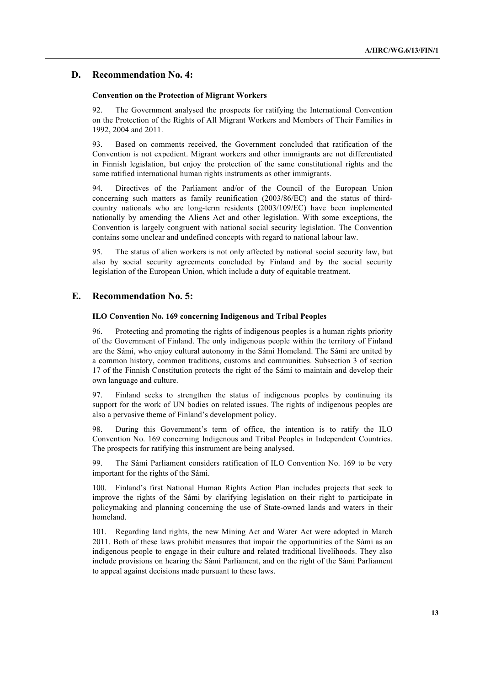## **D. Recommendation No. 4:**

#### **Convention on the Protection of Migrant Workers**

92. The Government analysed the prospects for ratifying the International Convention on the Protection of the Rights of All Migrant Workers and Members of Their Families in 1992, 2004 and 2011.

93. Based on comments received, the Government concluded that ratification of the Convention is not expedient. Migrant workers and other immigrants are not differentiated in Finnish legislation, but enjoy the protection of the same constitutional rights and the same ratified international human rights instruments as other immigrants.

94. Directives of the Parliament and/or of the Council of the European Union concerning such matters as family reunification (2003/86/EC) and the status of thirdcountry nationals who are long-term residents (2003/109/EC) have been implemented nationally by amending the Aliens Act and other legislation. With some exceptions, the Convention is largely congruent with national social security legislation. The Convention contains some unclear and undefined concepts with regard to national labour law.

95. The status of alien workers is not only affected by national social security law, but also by social security agreements concluded by Finland and by the social security legislation of the European Union, which include a duty of equitable treatment.

## **E. Recommendation No. 5:**

#### **ILO Convention No. 169 concerning Indigenous and Tribal Peoples**

96. Protecting and promoting the rights of indigenous peoples is a human rights priority of the Government of Finland. The only indigenous people within the territory of Finland are the Sámi, who enjoy cultural autonomy in the Sámi Homeland. The Sámi are united by a common history, common traditions, customs and communities. Subsection 3 of section 17 of the Finnish Constitution protects the right of the Sámi to maintain and develop their own language and culture.

97. Finland seeks to strengthen the status of indigenous peoples by continuing its support for the work of UN bodies on related issues. The rights of indigenous peoples are also a pervasive theme of Finland's development policy.

98. During this Government's term of office, the intention is to ratify the ILO Convention No. 169 concerning Indigenous and Tribal Peoples in Independent Countries. The prospects for ratifying this instrument are being analysed.

99. The Sámi Parliament considers ratification of ILO Convention No. 169 to be very important for the rights of the Sámi.

100. Finland's first National Human Rights Action Plan includes projects that seek to improve the rights of the Sámi by clarifying legislation on their right to participate in policymaking and planning concerning the use of State-owned lands and waters in their homeland.

101. Regarding land rights, the new Mining Act and Water Act were adopted in March 2011. Both of these laws prohibit measures that impair the opportunities of the Sámi as an indigenous people to engage in their culture and related traditional livelihoods. They also include provisions on hearing the Sámi Parliament, and on the right of the Sámi Parliament to appeal against decisions made pursuant to these laws.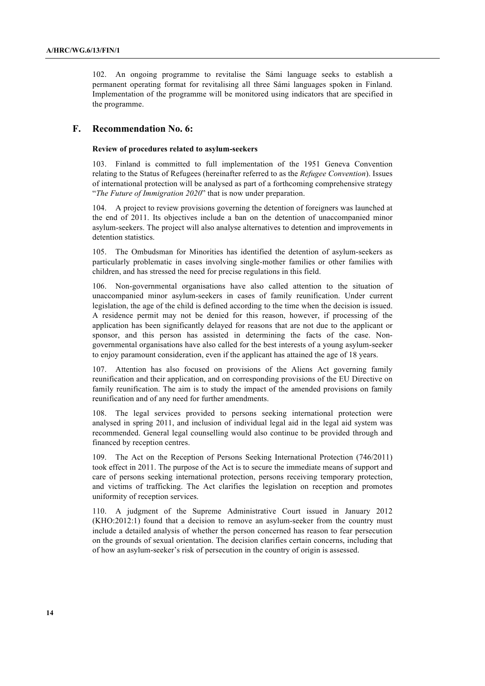102. An ongoing programme to revitalise the Sámi language seeks to establish a permanent operating format for revitalising all three Sámi languages spoken in Finland. Implementation of the programme will be monitored using indicators that are specified in the programme.

## **F. Recommendation No. 6:**

#### **Review of procedures related to asylum-seekers**

103. Finland is committed to full implementation of the 1951 Geneva Convention relating to the Status of Refugees (hereinafter referred to as the *Refugee Convention*). Issues of international protection will be analysed as part of a forthcoming comprehensive strategy "*The Future of Immigration 2020*" that is now under preparation.

104. A project to review provisions governing the detention of foreigners was launched at the end of 2011. Its objectives include a ban on the detention of unaccompanied minor asylum-seekers. The project will also analyse alternatives to detention and improvements in detention statistics.

105. The Ombudsman for Minorities has identified the detention of asylum-seekers as particularly problematic in cases involving single-mother families or other families with children, and has stressed the need for precise regulations in this field.

106. Non-governmental organisations have also called attention to the situation of unaccompanied minor asylum-seekers in cases of family reunification. Under current legislation, the age of the child is defined according to the time when the decision is issued. A residence permit may not be denied for this reason, however, if processing of the application has been significantly delayed for reasons that are not due to the applicant or sponsor, and this person has assisted in determining the facts of the case. Nongovernmental organisations have also called for the best interests of a young asylum-seeker to enjoy paramount consideration, even if the applicant has attained the age of 18 years.

107. Attention has also focused on provisions of the Aliens Act governing family reunification and their application, and on corresponding provisions of the EU Directive on family reunification. The aim is to study the impact of the amended provisions on family reunification and of any need for further amendments.

108. The legal services provided to persons seeking international protection were analysed in spring 2011, and inclusion of individual legal aid in the legal aid system was recommended. General legal counselling would also continue to be provided through and financed by reception centres.

The Act on the Reception of Persons Seeking International Protection  $(746/2011)$ took effect in 2011. The purpose of the Act is to secure the immediate means of support and care of persons seeking international protection, persons receiving temporary protection, and victims of trafficking. The Act clarifies the legislation on reception and promotes uniformity of reception services.

110. A judgment of the Supreme Administrative Court issued in January 2012 (KHO:2012:1) found that a decision to remove an asylum-seeker from the country must include a detailed analysis of whether the person concerned has reason to fear persecution on the grounds of sexual orientation. The decision clarifies certain concerns, including that of how an asylum-seeker's risk of persecution in the country of origin is assessed.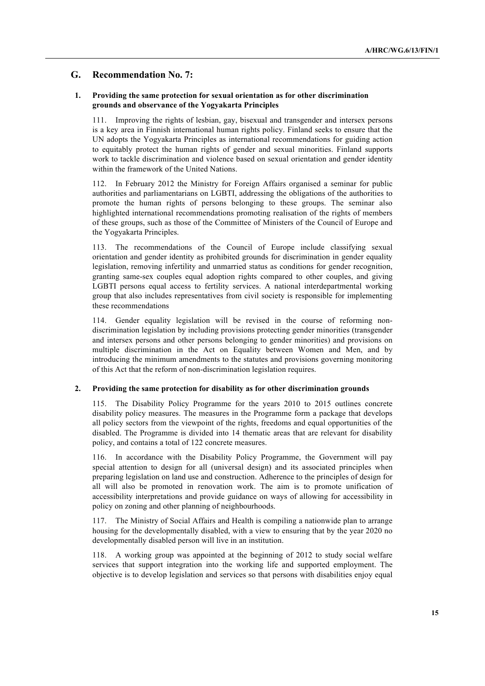## **G. Recommendation No. 7:**

### **1. Providing the same protection for sexual orientation as for other discrimination grounds and observance of the Yogyakarta Principles**

111. Improving the rights of lesbian, gay, bisexual and transgender and intersex persons is a key area in Finnish international human rights policy. Finland seeks to ensure that the UN adopts the Yogyakarta Principles as international recommendations for guiding action to equitably protect the human rights of gender and sexual minorities. Finland supports work to tackle discrimination and violence based on sexual orientation and gender identity within the framework of the United Nations.

112. In February 2012 the Ministry for Foreign Affairs organised a seminar for public authorities and parliamentarians on LGBTI, addressing the obligations of the authorities to promote the human rights of persons belonging to these groups. The seminar also highlighted international recommendations promoting realisation of the rights of members of these groups, such as those of the Committee of Ministers of the Council of Europe and the Yogyakarta Principles.

113. The recommendations of the Council of Europe include classifying sexual orientation and gender identity as prohibited grounds for discrimination in gender equality legislation, removing infertility and unmarried status as conditions for gender recognition, granting same-sex couples equal adoption rights compared to other couples, and giving LGBTI persons equal access to fertility services. A national interdepartmental working group that also includes representatives from civil society is responsible for implementing these recommendations

114. Gender equality legislation will be revised in the course of reforming nondiscrimination legislation by including provisions protecting gender minorities (transgender and intersex persons and other persons belonging to gender minorities) and provisions on multiple discrimination in the Act on Equality between Women and Men, and by introducing the minimum amendments to the statutes and provisions governing monitoring of this Act that the reform of non-discrimination legislation requires.

### **2. Providing the same protection for disability as for other discrimination grounds**

115. The Disability Policy Programme for the years 2010 to 2015 outlines concrete disability policy measures. The measures in the Programme form a package that develops all policy sectors from the viewpoint of the rights, freedoms and equal opportunities of the disabled. The Programme is divided into 14 thematic areas that are relevant for disability policy, and contains a total of 122 concrete measures.

116. In accordance with the Disability Policy Programme, the Government will pay special attention to design for all (universal design) and its associated principles when preparing legislation on land use and construction. Adherence to the principles of design for all will also be promoted in renovation work. The aim is to promote unification of accessibility interpretations and provide guidance on ways of allowing for accessibility in policy on zoning and other planning of neighbourhoods.

The Ministry of Social Affairs and Health is compiling a nationwide plan to arrange housing for the developmentally disabled, with a view to ensuring that by the year 2020 no developmentally disabled person will live in an institution.

118. A working group was appointed at the beginning of 2012 to study social welfare services that support integration into the working life and supported employment. The objective is to develop legislation and services so that persons with disabilities enjoy equal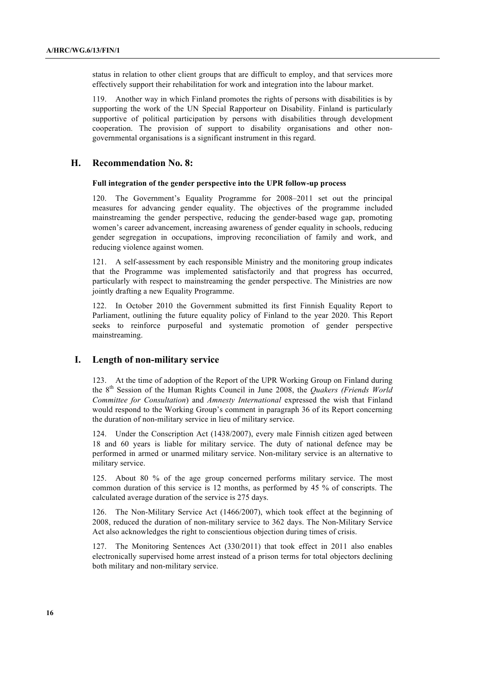status in relation to other client groups that are difficult to employ, and that services more effectively support their rehabilitation for work and integration into the labour market.

119. Another way in which Finland promotes the rights of persons with disabilities is by supporting the work of the UN Special Rapporteur on Disability. Finland is particularly supportive of political participation by persons with disabilities through development cooperation. The provision of support to disability organisations and other nongovernmental organisations is a significant instrument in this regard.

### **H. Recommendation No. 8:**

### **Full integration of the gender perspective into the UPR follow-up process**

120. The Government's Equality Programme for 2008–2011 set out the principal measures for advancing gender equality. The objectives of the programme included mainstreaming the gender perspective, reducing the gender-based wage gap, promoting women's career advancement, increasing awareness of gender equality in schools, reducing gender segregation in occupations, improving reconciliation of family and work, and reducing violence against women.

121. A self-assessment by each responsible Ministry and the monitoring group indicates that the Programme was implemented satisfactorily and that progress has occurred, particularly with respect to mainstreaming the gender perspective. The Ministries are now jointly drafting a new Equality Programme.

122. In October 2010 the Government submitted its first Finnish Equality Report to Parliament, outlining the future equality policy of Finland to the year 2020. This Report seeks to reinforce purposeful and systematic promotion of gender perspective mainstreaming.

### **I. Length of non-military service**

123. At the time of adoption of the Report of the UPR Working Group on Finland during the 8th Session of the Human Rights Council in June 2008, the *Quakers (Friends World Committee for Consultation*) and *Amnesty International* expressed the wish that Finland would respond to the Working Group's comment in paragraph 36 of its Report concerning the duration of non-military service in lieu of military service.

124. Under the Conscription Act (1438/2007), every male Finnish citizen aged between 18 and 60 years is liable for military service. The duty of national defence may be performed in armed or unarmed military service. Non-military service is an alternative to military service.

125. About 80 % of the age group concerned performs military service. The most common duration of this service is 12 months, as performed by 45 % of conscripts. The calculated average duration of the service is 275 days.

126. The Non-Military Service Act (1466/2007), which took effect at the beginning of 2008, reduced the duration of non-military service to 362 days. The Non-Military Service Act also acknowledges the right to conscientious objection during times of crisis.

127. The Monitoring Sentences Act (330/2011) that took effect in 2011 also enables electronically supervised home arrest instead of a prison terms for total objectors declining both military and non-military service.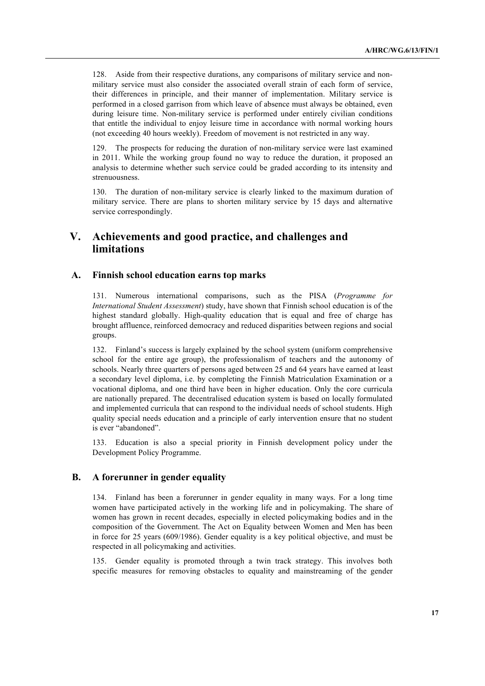128. Aside from their respective durations, any comparisons of military service and nonmilitary service must also consider the associated overall strain of each form of service, their differences in principle, and their manner of implementation. Military service is performed in a closed garrison from which leave of absence must always be obtained, even during leisure time. Non-military service is performed under entirely civilian conditions that entitle the individual to enjoy leisure time in accordance with normal working hours (not exceeding 40 hours weekly). Freedom of movement is not restricted in any way.

129. The prospects for reducing the duration of non-military service were last examined in 2011. While the working group found no way to reduce the duration, it proposed an analysis to determine whether such service could be graded according to its intensity and strenuousness.

130. The duration of non-military service is clearly linked to the maximum duration of military service. There are plans to shorten military service by 15 days and alternative service correspondingly.

# **V. Achievements and good practice, and challenges and limitations**

## **A. Finnish school education earns top marks**

131. Numerous international comparisons, such as the PISA (*Programme for International Student Assessment*) study, have shown that Finnish school education is of the highest standard globally. High-quality education that is equal and free of charge has brought affluence, reinforced democracy and reduced disparities between regions and social groups.

132. Finland's success is largely explained by the school system (uniform comprehensive school for the entire age group), the professionalism of teachers and the autonomy of schools. Nearly three quarters of persons aged between 25 and 64 years have earned at least a secondary level diploma, i.e. by completing the Finnish Matriculation Examination or a vocational diploma, and one third have been in higher education. Only the core curricula are nationally prepared. The decentralised education system is based on locally formulated and implemented curricula that can respond to the individual needs of school students. High quality special needs education and a principle of early intervention ensure that no student is ever "abandoned".

133. Education is also a special priority in Finnish development policy under the Development Policy Programme.

## **B. A forerunner in gender equality**

134. Finland has been a forerunner in gender equality in many ways. For a long time women have participated actively in the working life and in policymaking. The share of women has grown in recent decades, especially in elected policymaking bodies and in the composition of the Government. The Act on Equality between Women and Men has been in force for 25 years (609/1986). Gender equality is a key political objective, and must be respected in all policymaking and activities.

135. Gender equality is promoted through a twin track strategy. This involves both specific measures for removing obstacles to equality and mainstreaming of the gender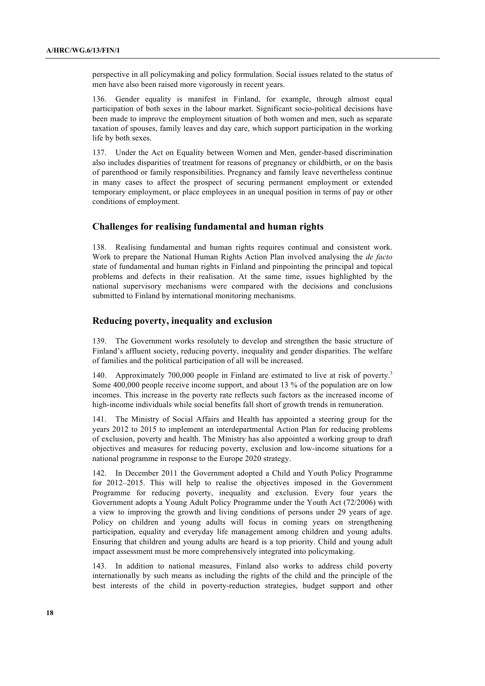perspective in all policymaking and policy formulation. Social issues related to the status of men have also been raised more vigorously in recent years.

136. Gender equality is manifest in Finland, for example, through almost equal participation of both sexes in the labour market. Significant socio-political decisions have been made to improve the employment situation of both women and men, such as separate taxation of spouses, family leaves and day care, which support participation in the working life by both sexes.

137. Under the Act on Equality between Women and Men, gender-based discrimination also includes disparities of treatment for reasons of pregnancy or childbirth, or on the basis of parenthood or family responsibilities. Pregnancy and family leave nevertheless continue in many cases to affect the prospect of securing permanent employment or extended temporary employment, or place employees in an unequal position in terms of pay or other conditions of employment.

## **Challenges for realising fundamental and human rights**

138. Realising fundamental and human rights requires continual and consistent work. Work to prepare the National Human Rights Action Plan involved analysing the *de facto* state of fundamental and human rights in Finland and pinpointing the principal and topical problems and defects in their realisation. At the same time, issues highlighted by the national supervisory mechanisms were compared with the decisions and conclusions submitted to Finland by international monitoring mechanisms.

## **Reducing poverty, inequality and exclusion**

139. The Government works resolutely to develop and strengthen the basic structure of Finland's affluent society, reducing poverty, inequality and gender disparities. The welfare of families and the political participation of all will be increased.

140. Approximately 700,000 people in Finland are estimated to live at risk of poverty.<sup>3</sup> Some 400,000 people receive income support, and about 13 % of the population are on low incomes. This increase in the poverty rate reflects such factors as the increased income of high-income individuals while social benefits fall short of growth trends in remuneration.

141. The Ministry of Social Affairs and Health has appointed a steering group for the years 2012 to 2015 to implement an interdepartmental Action Plan for reducing problems of exclusion, poverty and health. The Ministry has also appointed a working group to draft objectives and measures for reducing poverty, exclusion and low-income situations for a national programme in response to the Europe 2020 strategy.

142. In December 2011 the Government adopted a Child and Youth Policy Programme for 2012–2015. This will help to realise the objectives imposed in the Government Programme for reducing poverty, inequality and exclusion. Every four years the Government adopts a Young Adult Policy Programme under the Youth Act (72/2006) with a view to improving the growth and living conditions of persons under 29 years of age. Policy on children and young adults will focus in coming years on strengthening participation, equality and everyday life management among children and young adults. Ensuring that children and young adults are heard is a top priority. Child and young adult impact assessment must be more comprehensively integrated into policymaking.

143. In addition to national measures, Finland also works to address child poverty internationally by such means as including the rights of the child and the principle of the best interests of the child in poverty-reduction strategies, budget support and other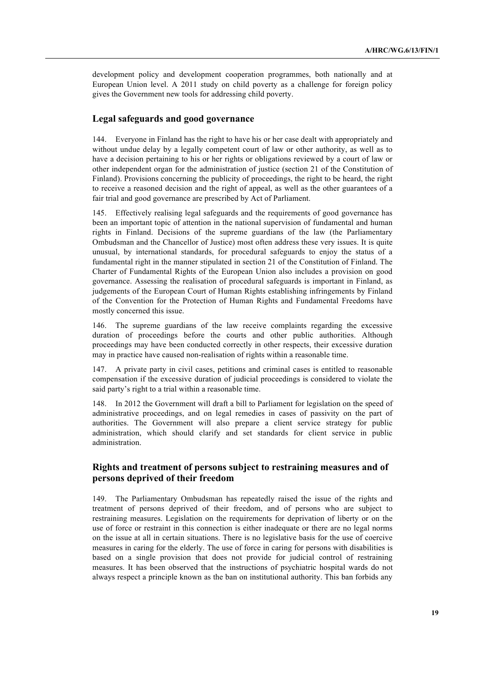development policy and development cooperation programmes, both nationally and at European Union level. A 2011 study on child poverty as a challenge for foreign policy gives the Government new tools for addressing child poverty.

## **Legal safeguards and good governance**

144. Everyone in Finland has the right to have his or her case dealt with appropriately and without undue delay by a legally competent court of law or other authority, as well as to have a decision pertaining to his or her rights or obligations reviewed by a court of law or other independent organ for the administration of justice (section 21 of the Constitution of Finland). Provisions concerning the publicity of proceedings, the right to be heard, the right to receive a reasoned decision and the right of appeal, as well as the other guarantees of a fair trial and good governance are prescribed by Act of Parliament.

145. Effectively realising legal safeguards and the requirements of good governance has been an important topic of attention in the national supervision of fundamental and human rights in Finland. Decisions of the supreme guardians of the law (the Parliamentary Ombudsman and the Chancellor of Justice) most often address these very issues. It is quite unusual, by international standards, for procedural safeguards to enjoy the status of a fundamental right in the manner stipulated in section 21 of the Constitution of Finland. The Charter of Fundamental Rights of the European Union also includes a provision on good governance. Assessing the realisation of procedural safeguards is important in Finland, as judgements of the European Court of Human Rights establishing infringements by Finland of the Convention for the Protection of Human Rights and Fundamental Freedoms have mostly concerned this issue.

146. The supreme guardians of the law receive complaints regarding the excessive duration of proceedings before the courts and other public authorities. Although proceedings may have been conducted correctly in other respects, their excessive duration may in practice have caused non-realisation of rights within a reasonable time.

147. A private party in civil cases, petitions and criminal cases is entitled to reasonable compensation if the excessive duration of judicial proceedings is considered to violate the said party's right to a trial within a reasonable time.

148. In 2012 the Government will draft a bill to Parliament for legislation on the speed of administrative proceedings, and on legal remedies in cases of passivity on the part of authorities. The Government will also prepare a client service strategy for public administration, which should clarify and set standards for client service in public administration.

## **Rights and treatment of persons subject to restraining measures and of persons deprived of their freedom**

149. The Parliamentary Ombudsman has repeatedly raised the issue of the rights and treatment of persons deprived of their freedom, and of persons who are subject to restraining measures. Legislation on the requirements for deprivation of liberty or on the use of force or restraint in this connection is either inadequate or there are no legal norms on the issue at all in certain situations. There is no legislative basis for the use of coercive measures in caring for the elderly. The use of force in caring for persons with disabilities is based on a single provision that does not provide for judicial control of restraining measures. It has been observed that the instructions of psychiatric hospital wards do not always respect a principle known as the ban on institutional authority. This ban forbids any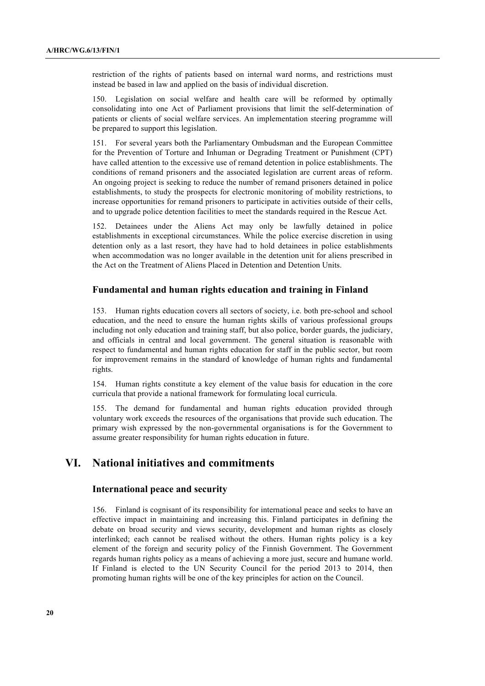restriction of the rights of patients based on internal ward norms, and restrictions must instead be based in law and applied on the basis of individual discretion.

150. Legislation on social welfare and health care will be reformed by optimally consolidating into one Act of Parliament provisions that limit the self-determination of patients or clients of social welfare services. An implementation steering programme will be prepared to support this legislation.

151. For several years both the Parliamentary Ombudsman and the European Committee for the Prevention of Torture and Inhuman or Degrading Treatment or Punishment (CPT) have called attention to the excessive use of remand detention in police establishments. The conditions of remand prisoners and the associated legislation are current areas of reform. An ongoing project is seeking to reduce the number of remand prisoners detained in police establishments, to study the prospects for electronic monitoring of mobility restrictions, to increase opportunities for remand prisoners to participate in activities outside of their cells, and to upgrade police detention facilities to meet the standards required in the Rescue Act.

152. Detainees under the Aliens Act may only be lawfully detained in police establishments in exceptional circumstances. While the police exercise discretion in using detention only as a last resort, they have had to hold detainees in police establishments when accommodation was no longer available in the detention unit for aliens prescribed in the Act on the Treatment of Aliens Placed in Detention and Detention Units.

## **Fundamental and human rights education and training in Finland**

153. Human rights education covers all sectors of society, i.e. both pre-school and school education, and the need to ensure the human rights skills of various professional groups including not only education and training staff, but also police, border guards, the judiciary, and officials in central and local government. The general situation is reasonable with respect to fundamental and human rights education for staff in the public sector, but room for improvement remains in the standard of knowledge of human rights and fundamental rights.

154. Human rights constitute a key element of the value basis for education in the core curricula that provide a national framework for formulating local curricula.

155. The demand for fundamental and human rights education provided through voluntary work exceeds the resources of the organisations that provide such education. The primary wish expressed by the non-governmental organisations is for the Government to assume greater responsibility for human rights education in future.

# **VI. National initiatives and commitments**

#### **International peace and security**

156. Finland is cognisant of its responsibility for international peace and seeks to have an effective impact in maintaining and increasing this. Finland participates in defining the debate on broad security and views security, development and human rights as closely interlinked; each cannot be realised without the others. Human rights policy is a key element of the foreign and security policy of the Finnish Government. The Government regards human rights policy as a means of achieving a more just, secure and humane world. If Finland is elected to the UN Security Council for the period 2013 to 2014, then promoting human rights will be one of the key principles for action on the Council.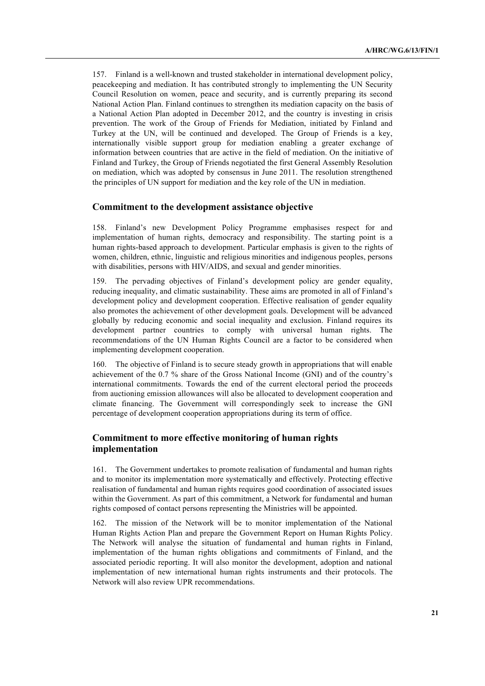157. Finland is a well-known and trusted stakeholder in international development policy, peacekeeping and mediation. It has contributed strongly to implementing the UN Security Council Resolution on women, peace and security, and is currently preparing its second National Action Plan. Finland continues to strengthen its mediation capacity on the basis of a National Action Plan adopted in December 2012, and the country is investing in crisis prevention. The work of the Group of Friends for Mediation, initiated by Finland and Turkey at the UN, will be continued and developed. The Group of Friends is a key, internationally visible support group for mediation enabling a greater exchange of information between countries that are active in the field of mediation. On the initiative of Finland and Turkey, the Group of Friends negotiated the first General Assembly Resolution on mediation, which was adopted by consensus in June 2011. The resolution strengthened the principles of UN support for mediation and the key role of the UN in mediation.

#### **Commitment to the development assistance objective**

158. Finland's new Development Policy Programme emphasises respect for and implementation of human rights, democracy and responsibility. The starting point is a human rights-based approach to development. Particular emphasis is given to the rights of women, children, ethnic, linguistic and religious minorities and indigenous peoples, persons with disabilities, persons with HIV/AIDS, and sexual and gender minorities.

159. The pervading objectives of Finland's development policy are gender equality, reducing inequality, and climatic sustainability. These aims are promoted in all of Finland's development policy and development cooperation. Effective realisation of gender equality also promotes the achievement of other development goals. Development will be advanced globally by reducing economic and social inequality and exclusion. Finland requires its development partner countries to comply with universal human rights. The recommendations of the UN Human Rights Council are a factor to be considered when implementing development cooperation.

160. The objective of Finland is to secure steady growth in appropriations that will enable achievement of the 0.7 % share of the Gross National Income (GNI) and of the country's international commitments. Towards the end of the current electoral period the proceeds from auctioning emission allowances will also be allocated to development cooperation and climate financing. The Government will correspondingly seek to increase the GNI percentage of development cooperation appropriations during its term of office.

## **Commitment to more effective monitoring of human rights implementation**

161. The Government undertakes to promote realisation of fundamental and human rights and to monitor its implementation more systematically and effectively. Protecting effective realisation of fundamental and human rights requires good coordination of associated issues within the Government. As part of this commitment, a Network for fundamental and human rights composed of contact persons representing the Ministries will be appointed.

162. The mission of the Network will be to monitor implementation of the National Human Rights Action Plan and prepare the Government Report on Human Rights Policy. The Network will analyse the situation of fundamental and human rights in Finland, implementation of the human rights obligations and commitments of Finland, and the associated periodic reporting. It will also monitor the development, adoption and national implementation of new international human rights instruments and their protocols. The Network will also review UPR recommendations.